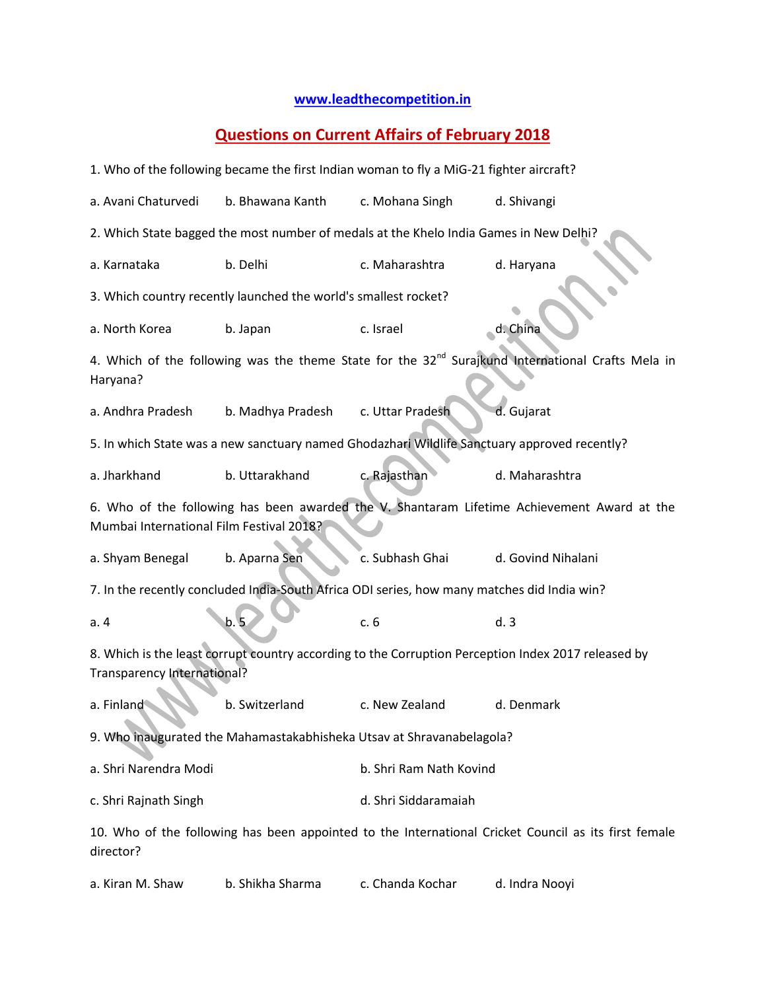## **[www.leadthecompetition.in](http://www.leadthecompetition.in/)**

## **Questions on Current Affairs of February 2018**

|                                                                                                                                           |                   | 1. Who of the following became the first Indian woman to fly a MiG-21 fighter aircraft? |                    |  |  |  |  |  |  |
|-------------------------------------------------------------------------------------------------------------------------------------------|-------------------|-----------------------------------------------------------------------------------------|--------------------|--|--|--|--|--|--|
| a. Avani Chaturvedi                                                                                                                       | b. Bhawana Kanth  | c. Mohana Singh                                                                         | d. Shivangi        |  |  |  |  |  |  |
| 2. Which State bagged the most number of medals at the Khelo India Games in New Delhi?                                                    |                   |                                                                                         |                    |  |  |  |  |  |  |
| a. Karnataka                                                                                                                              | b. Delhi          | c. Maharashtra                                                                          | d. Haryana         |  |  |  |  |  |  |
| 3. Which country recently launched the world's smallest rocket?                                                                           |                   |                                                                                         |                    |  |  |  |  |  |  |
| a. North Korea                                                                                                                            | b. Japan          | c. Israel                                                                               | d. China           |  |  |  |  |  |  |
| 4. Which of the following was the theme State for the 32 <sup>nd</sup> Surajkund International Crafts Mela in<br>Haryana?                 |                   |                                                                                         |                    |  |  |  |  |  |  |
| a. Andhra Pradesh                                                                                                                         | b. Madhya Pradesh | c. Uttar Pradesh                                                                        | d. Gujarat         |  |  |  |  |  |  |
| 5. In which State was a new sanctuary named Ghodazhari Wildlife Sanctuary approved recently?                                              |                   |                                                                                         |                    |  |  |  |  |  |  |
| a. Jharkhand                                                                                                                              | b. Uttarakhand    | c. Rajasthan                                                                            | d. Maharashtra     |  |  |  |  |  |  |
| 6. Who of the following has been awarded the V. Shantaram Lifetime Achievement Award at the<br>Mumbai International Film Festival 2018?   |                   |                                                                                         |                    |  |  |  |  |  |  |
| a. Shyam Benegal                                                                                                                          | b. Aparna Sen     | c. Subhash Ghai                                                                         | d. Govind Nihalani |  |  |  |  |  |  |
| 7. In the recently concluded India-South Africa ODI series, how many matches did India win?                                               |                   |                                                                                         |                    |  |  |  |  |  |  |
| a.4                                                                                                                                       | b. 5              | c.6                                                                                     | d.3                |  |  |  |  |  |  |
| 8. Which is the least corrupt country according to the Corruption Perception Index 2017 released by<br><b>Transparency International?</b> |                   |                                                                                         |                    |  |  |  |  |  |  |
| a. Finland                                                                                                                                | b. Switzerland    | c. New Zealand                                                                          | d. Denmark         |  |  |  |  |  |  |
| 9. Who inaugurated the Mahamastakabhisheka Utsav at Shravanabelagola?                                                                     |                   |                                                                                         |                    |  |  |  |  |  |  |
| a. Shri Narendra Modi                                                                                                                     |                   | b. Shri Ram Nath Kovind                                                                 |                    |  |  |  |  |  |  |
| c. Shri Rajnath Singh                                                                                                                     |                   | d. Shri Siddaramaiah                                                                    |                    |  |  |  |  |  |  |
| 10. Who of the following has been appointed to the International Cricket Council as its first female<br>director?                         |                   |                                                                                         |                    |  |  |  |  |  |  |
| a. Kiran M. Shaw                                                                                                                          | b. Shikha Sharma  | c. Chanda Kochar                                                                        | d. Indra Nooyi     |  |  |  |  |  |  |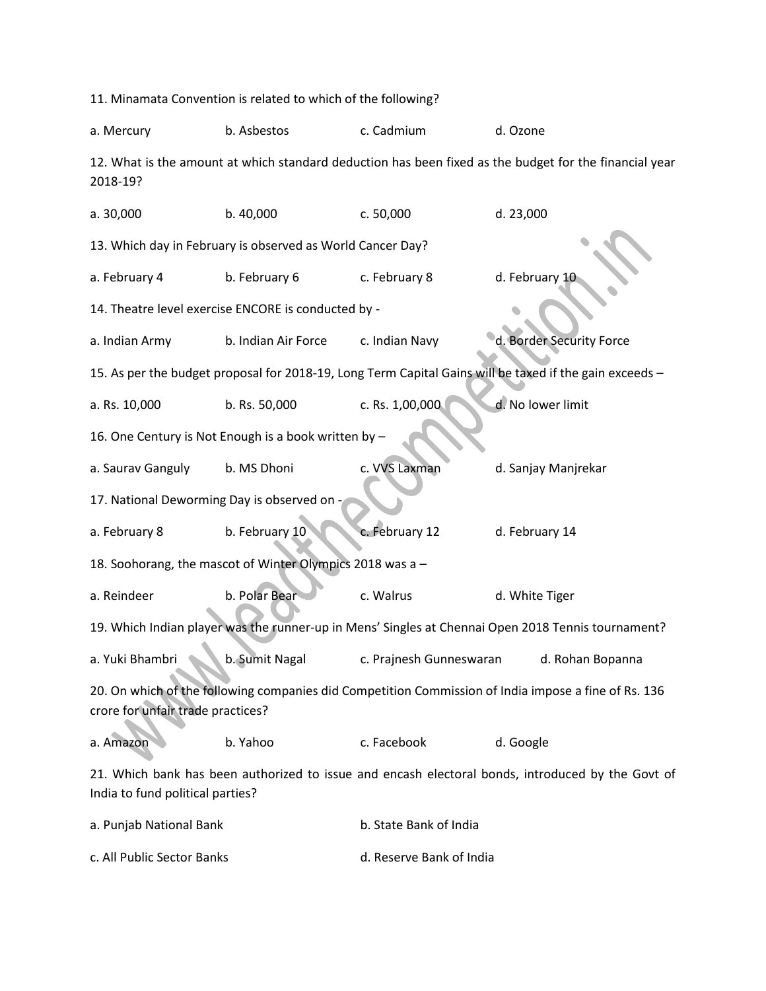11. Minamata Convention is related to which of the following? a. Mercury b. Asbestos c. Cadmium d. Ozone 12. What is the amount at which standard deduction has been fixed as the budget for the financial year 2018-19? a. 30,000 b. 40,000 c. 50,000 d. 23,000 13. Which day in February is observed as World Cancer Day? a. February 4 b. February 6 c. February 8 d. February 10 14. Theatre level exercise ENCORE is conducted by a. Indian Army b. Indian Air Force c. Indian Navy d. Border Security Force 15. As per the budget proposal for 2018-19, Long Term Capital Gains will be taxed if the gain exceeds – a. Rs. 10,000 b. Rs. 50,000 c. Rs. 1,00,000 d. No lower limit 16. One Century is Not Enough is a book written by – a. Saurav Ganguly b. MS Dhoni c. VVS Laxman d. Sanjay Manjrekar 17. National Deworming Day is observed on a. February 8 b. February 10 c. February 12 d. February 14 18. Soohorang, the mascot of Winter Olympics 2018 was a – a. Reindeer b. Polar Bear c. Walrus d. White Tiger 19. Which Indian player was the runner-up in Mens' Singles at Chennai Open 2018 Tennis tournament? a. Yuki Bhambri b. Sumit Nagal c. Prajnesh Gunneswaran d. Rohan Bopanna 20. On which of the following companies did Competition Commission of India impose a fine of Rs. 136 crore for unfair trade practices? a. Amazon b. Yahoo c. Facebook d. Google 21. Which bank has been authorized to issue and encash electoral bonds, introduced by the Govt of India to fund political parties? a. Punjab National Bank b. State Bank of India

c. All Public Sector Banks d. Reserve Bank of India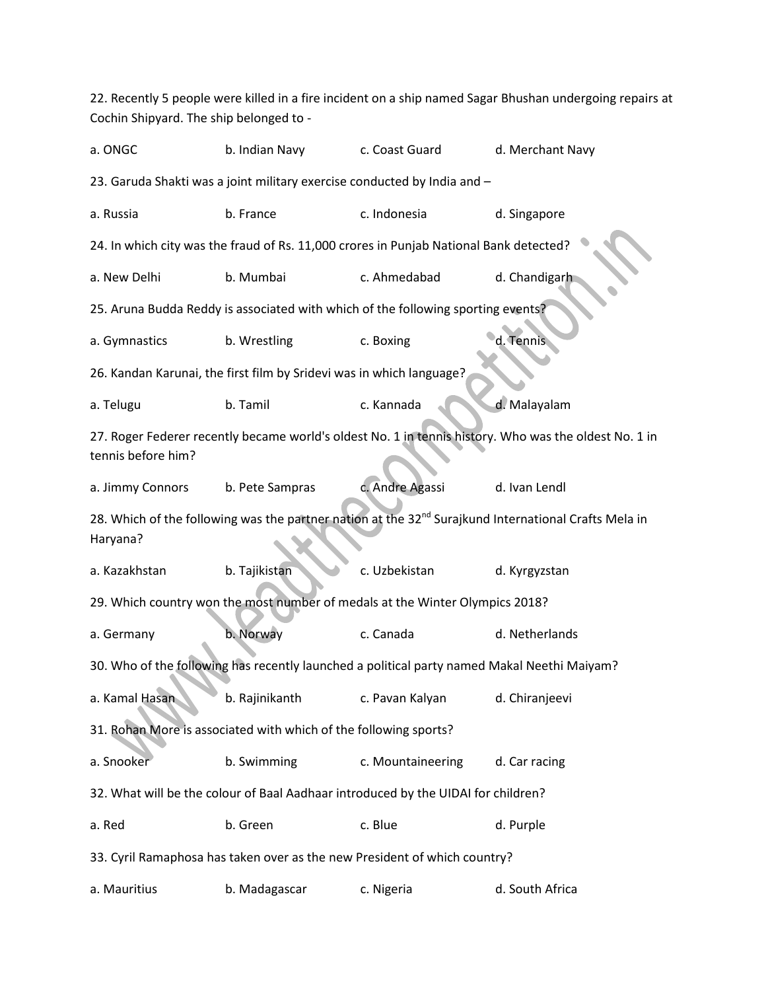22. Recently 5 people were killed in a fire incident on a ship named Sagar Bhushan undergoing repairs at Cochin Shipyard. The ship belonged to a. ONGC b. Indian Navy c. Coast Guard d. Merchant Navy 23. Garuda Shakti was a joint military exercise conducted by India and – a. Russia b. France c. Indonesia d. Singapore 24. In which city was the fraud of Rs. 11,000 crores in Punjab National Bank detected? a. New Delhi b. Mumbai c. Ahmedabad d. Chandigarh 25. Aruna Budda Reddy is associated with which of the following sporting events? a. Gymnastics b. Wrestling c. Boxing d. Tennis 26. Kandan Karunai, the first film by Sridevi was in which language? a. Telugu b. Tamil c. Kannada d. Malayalam 27. Roger Federer recently became world's oldest No. 1 in tennis history. Who was the oldest No. 1 in tennis before him? a. Jimmy Connors b. Pete Sampras c. Andre Agassi d. Ivan Lendl 28. Which of the following was the partner nation at the 32<sup>nd</sup> Surajkund International Crafts Mela in Haryana? a. Kazakhstan b. Tajikistan c. Uzbekistan d. Kyrgyzstan 29. Which country won the most number of medals at the Winter Olympics 2018? a. Germany b. Norway c. Canada d. Netherlands 30. Who of the following has recently launched a political party named Makal Neethi Maiyam? a. Kamal Hasan b. Rajinikanth c. Pavan Kalyan d. Chiranjeevi 31. Rohan More is associated with which of the following sports? a. Snooker b. Swimming c. Mountaineering d. Car racing 32. What will be the colour of Baal Aadhaar introduced by the UIDAI for children? a. Red b. Green c. Blue c. Blue d. Purple 33. Cyril Ramaphosa has taken over as the new President of which country? a. Mauritius b. Madagascar c. Nigeria d. South Africa